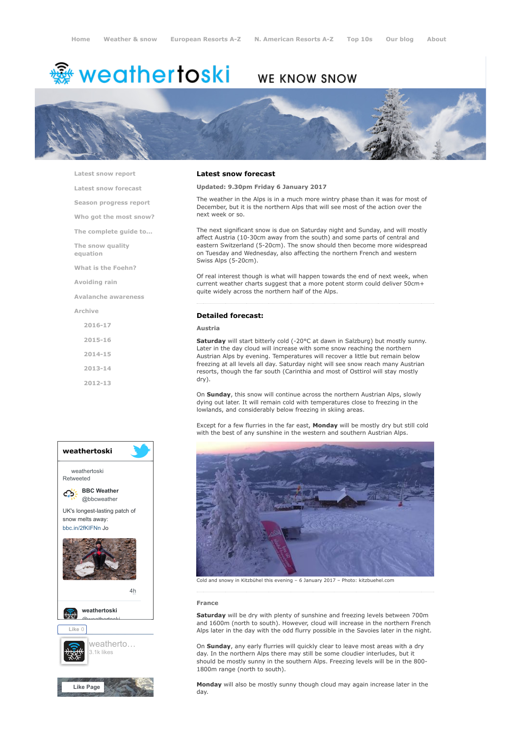# <del>鑾</del> weathertoski

# WE KNOW SNOW



[Latest snow report](https://www.weathertoski.co.uk/weather-snow/latest-snow-report/)

[Latest snow forecast](https://www.weathertoski.co.uk/weather-snow/latest-snow-forecast/)

[Season progress report](https://www.weathertoski.co.uk/weather-snow/season-progress-report/)

[Who got the most snow?](https://www.weathertoski.co.uk/weather-snow/who-got-the-most-snow/)

[The complete guide to...](https://www.weathertoski.co.uk/weather-snow/the-complete-guide-to/)

[The snow quality](https://www.weathertoski.co.uk/weather-snow/the-snow-quality-equation/)

[What is the Foehn?](https://www.weathertoski.co.uk/weather-snow/what-is-the-foehn/)

[Avoiding rain](https://www.weathertoski.co.uk/weather-snow/avoiding-rain/)

equation

[Avalanche awareness](https://www.weathertoski.co.uk/weather-snow/avalanche-awareness/)

[Archive](https://www.weathertoski.co.uk/weather-snow/archive/)

[2016-17](https://www.weathertoski.co.uk/weather-snow/archive/2016-17/) [2015-16](https://www.weathertoski.co.uk/weather-snow/archive/2015-16/) [2014-15](https://www.weathertoski.co.uk/weather-snow/archive/2014-15/) [2013-14](https://www.weathertoski.co.uk/weather-snow/archive/2013-14/)

[2012-13](https://www.weathertoski.co.uk/weather-snow/archive/2012-13/)





### Latest snow forecast

Updated: 9.30pm Friday 6 January 2017

The weather in the Alps is in a much more wintry phase than it was for most of December, but it is the northern Alps that will see most of the action over the next week or so.

The next significant snow is due on Saturday night and Sunday, and will mostly affect Austria (10-30cm away from the south) and some parts of central and eastern Switzerland (5-20cm). The snow should then become more widespread on Tuesday and Wednesday, also affecting the northern French and western Swiss Alps (5-20cm).

Of real interest though is what will happen towards the end of next week, when current weather charts suggest that a more potent storm could deliver 50cm+ quite widely across the northern half of the Alps.

# Detailed forecast:

# Austria

Saturday will start bitterly cold (-20°C at dawn in Salzburg) but mostly sunny. Later in the day cloud will increase with some snow reaching the northern Austrian Alps by evening. Temperatures will recover a little but remain below freezing at all levels all day. Saturday night will see snow reach many Austrian resorts, though the far south (Carinthia and most of Osttirol will stay mostly dry).

On Sunday, this snow will continue across the northern Austrian Alps, slowly dying out later. It will remain cold with temperatures close to freezing in the lowlands, and considerably below freezing in skiing areas.

Except for a few flurries in the far east, Monday will be mostly dry but still cold with the best of any sunshine in the western and southern Austrian Alps.



Cold and snowy in Kitzbühel this evening – 6 January 2017 – Photo: kitzbuehel.com

#### France

Saturday will be dry with plenty of sunshine and freezing levels between 700m and 1600m (north to south). However, cloud will increase in the northern French Alps later in the day with the odd flurry possible in the Savoies later in the night.

On Sunday, any early flurries will quickly clear to leave most areas with a dry day. In the northern Alps there may still be some cloudier interludes, but it should be mostly sunny in the southern Alps. Freezing levels will be in the 800- 1800m range (north to south).

Monday will also be mostly sunny though cloud may again increase later in the day.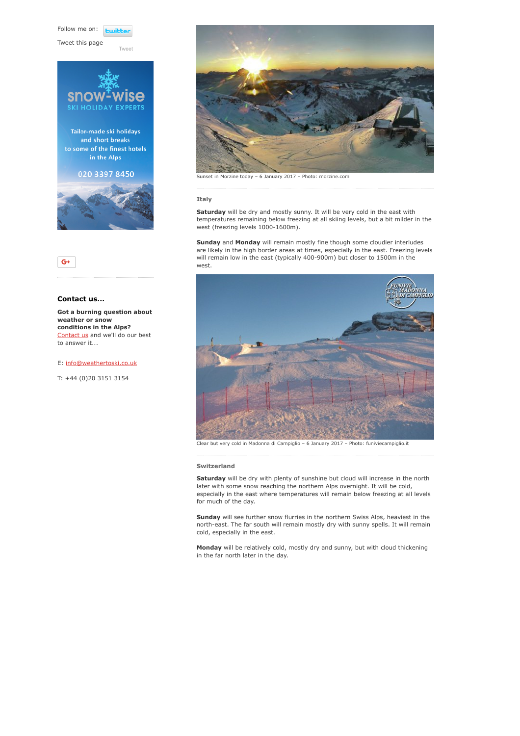Follow me on: *<u>twitte</u>* 

[Tweet](https://twitter.com/intent/tweet?original_referer=https%3A%2F%2Fwww.weathertoski.co.uk%2Fweather-snow%2Farchive%2Fsnow-forecast-06-01-2017%2F&ref_src=twsrc%5Etfw&text=Weather%20to%20ski%20-%20Snow%20forecast%20-%206%20January%202017&tw_p=tweetbutton&url=https%3A%2F%2Fwww.weathertoski.co.uk%2Fweather-snow%2Farchive%2Fsnow-forecast-06-01-2017%2F)

Tweet this page





# Contact us...

Got a burning question about weather or snow conditions in the Alps? [Contact us](https://www.weathertoski.co.uk/about-1/contact-us/) and we'll do our best to answer it...

E: [info@weathertoski.co.uk](mailto:fraser@weathertoski.co.uk)

T: +44 (0)20 3151 3154



Sunset in Morzine today – 6 January 2017 – Photo: morzine.com

#### Italy

Saturday will be dry and mostly sunny. It will be very cold in the east with temperatures remaining below freezing at all skiing levels, but a bit milder in the west (freezing levels 1000-1600m).

Sunday and Monday will remain mostly fine though some cloudier interludes are likely in the high border areas at times, especially in the east. Freezing levels will remain low in the east (typically 400-900m) but closer to 1500m in the west.



Clear but very cold in Madonna di Campiglio – 6 January 2017 – Photo: funiviecampiglio.it

#### Switzerland

Saturday will be dry with plenty of sunshine but cloud will increase in the north later with some snow reaching the northern Alps overnight. It will be cold, especially in the east where temperatures will remain below freezing at all levels for much of the day.

Sunday will see further snow flurries in the northern Swiss Alps, heaviest in the north-east. The far south will remain mostly dry with sunny spells. It will remain cold, especially in the east.

Monday will be relatively cold, mostly dry and sunny, but with cloud thickening in the far north later in the day.